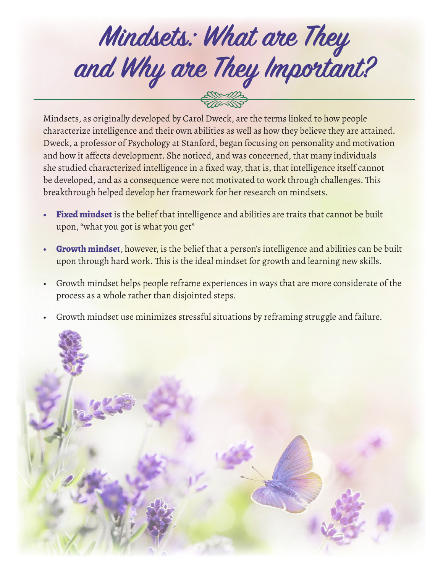## **Mindsets: What are They and Why are They Important?**  $\frac{100000}{2000000}$

Mindsets, as originally developed by Carol Dweck, are the terms linked to how people characterize intelligence and their own abilities as well as how they believe they are attained. Dweck, a professor of Psychology at Stanford, began focusing on personality and motivation and how it affects development. She noticed, and was concerned, that many individuals she studied characterized intelligence in a fixed way, that is, that intelligence itself cannot be developed, and as a consequence were not motivated to work through challenges. This breakthrough helped develop her framework for her research on mindsets.

- **• Fixed mindset** is the belief that intelligence and abilities are traits that cannot be built upon, "what you got is what you get"
- **• Growth mindset**, however, is the belief that a person's intelligence and abilities can be built upon through hard work. This is the ideal mindset for growth and learning new skills.
- Growth mindset helps people reframe experiences in ways that are more considerate of the process as a whole rather than disjointed steps.
- Growth mindset use minimizes stressful situations by reframing struggle and failure.